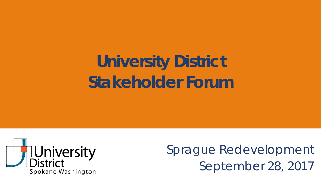# **University District Stakeholder Forum**



Sprague Redevelopment September 28, 2017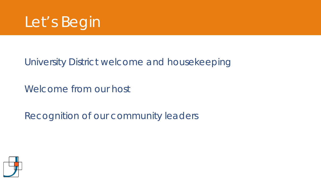

### University District welcome and housekeeping

Welcome from our host

Recognition of our community leaders

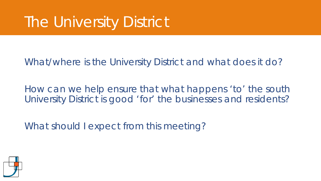# The University District

#### What/where is the University District and what does it do?

How can we help ensure that what happens 'to' the south University District is good 'for' the businesses and residents?

What should I expect from this meeting?

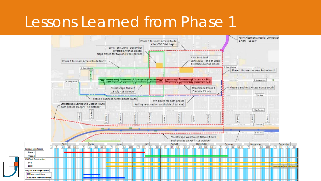### Lessons Learned from Phase 1

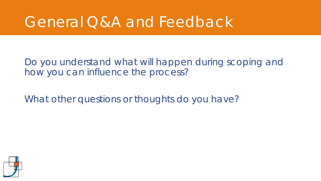## General Q&A and Feedback

Do you understand what will happen during scoping and how you can influence the process?

What other questions or thoughts do you have?

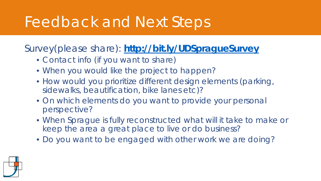## Feedback and Next Steps

Survey(please share): **<http://bit.ly/UDSpragueSurvey>**

- Contact info (if you want to share)
- When you would like the project to happen?
- How would you prioritize different design elements (parking, sidewalks, beautification, bike lanes etc)?
- On which elements do you want to provide your personal perspective?
- When Sprague is fully reconstructed what will it take to make or keep the area a great place to live or do business?
- Do you want to be engaged with other work we are doing?